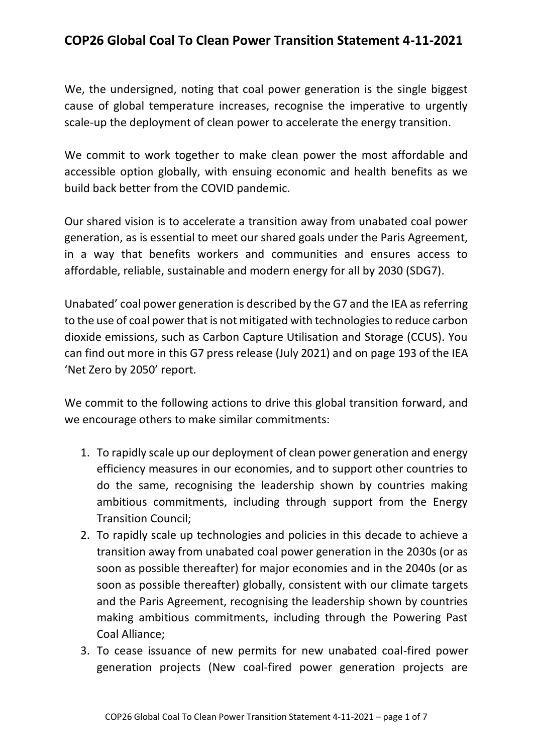## **COP26 Global Coal To Clean Power Transition Statement 4-11-2021**

We, the undersigned, noting that coal power generation is the single biggest cause of global temperature increases, recognise the imperative to urgently scale-up the deployment of clean power to accelerate the energy transition.

We commit to work together to make clean power the most affordable and accessible option globally, with ensuing economic and health benefits as we build back better from the COVID pandemic.

Our shared vision is to accelerate a transition away from unabated coal power generation, as is essential to meet our shared goals under the Paris Agreement, in a way that benefits workers and communities and ensures access to affordable, reliable, sustainable and modern energy for all by 2030 (SDG7).

Unabated' coal power generation is described by the G7 and the IEA as referring to the use of coal power that is not mitigated with technologies to reduce carbon dioxide emissions, such as Carbon Capture Utilisation and Storage (CCUS). You can find out more in this G7 press release (July 2021) and on page 193 of the IEA 'Net Zero by 2050' report.

We commit to the following actions to drive this global transition forward, and we encourage others to make similar commitments:

- 1. To rapidly scale up our deployment of clean power generation and energy efficiency measures in our economies, and to support other countries to do the same, recognising the leadership shown by countries making ambitious commitments, including through support from the Energy Transition Council;
- 2. To rapidly scale up technologies and policies in this decade to achieve a transition away from unabated coal power generation in the 2030s (or as soon as possible thereafter) for major economies and in the 2040s (or as soon as possible thereafter) globally, consistent with our climate targets and the Paris Agreement, recognising the leadership shown by countries making ambitious commitments, including through the Powering Past Coal Alliance;
- 3. To cease issuance of new permits for new unabated coal-fired power generation projects (New coal-fired power generation projects are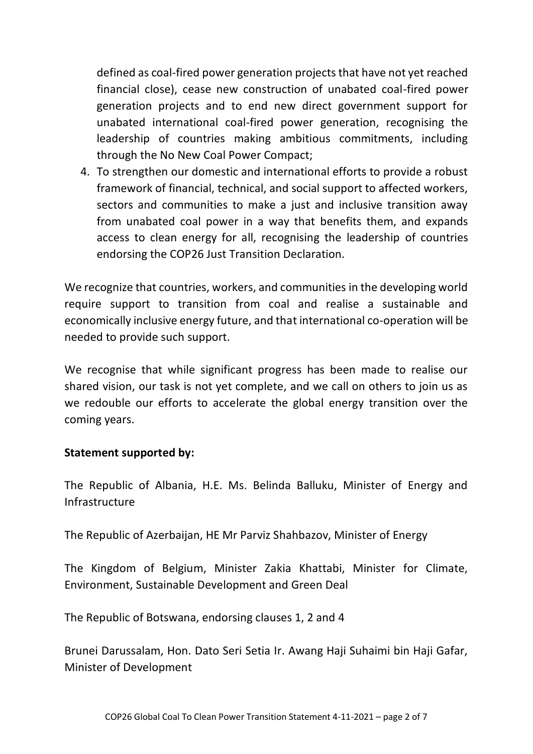defined as coal-fired power generation projects that have not yet reached financial close), cease new construction of unabated coal-fired power generation projects and to end new direct government support for unabated international coal-fired power generation, recognising the leadership of countries making ambitious commitments, including through the No New Coal Power Compact;

4. To strengthen our domestic and international efforts to provide a robust framework of financial, technical, and social support to affected workers, sectors and communities to make a just and inclusive transition away from unabated coal power in a way that benefits them, and expands access to clean energy for all, recognising the leadership of countries endorsing the COP26 Just Transition Declaration.

We recognize that countries, workers, and communities in the developing world require support to transition from coal and realise a sustainable and economically inclusive energy future, and that international co-operation will be needed to provide such support.

We recognise that while significant progress has been made to realise our shared vision, our task is not yet complete, and we call on others to join us as we redouble our efforts to accelerate the global energy transition over the coming years.

## **Statement supported by:**

The Republic of Albania, H.E. Ms. Belinda Balluku, Minister of Energy and Infrastructure

The Republic of Azerbaijan, HE Mr Parviz Shahbazov, Minister of Energy

The Kingdom of Belgium, Minister Zakia Khattabi, Minister for Climate, Environment, Sustainable Development and Green Deal

The Republic of Botswana, endorsing clauses 1, 2 and 4

Brunei Darussalam, Hon. Dato Seri Setia Ir. Awang Haji Suhaimi bin Haji Gafar, Minister of Development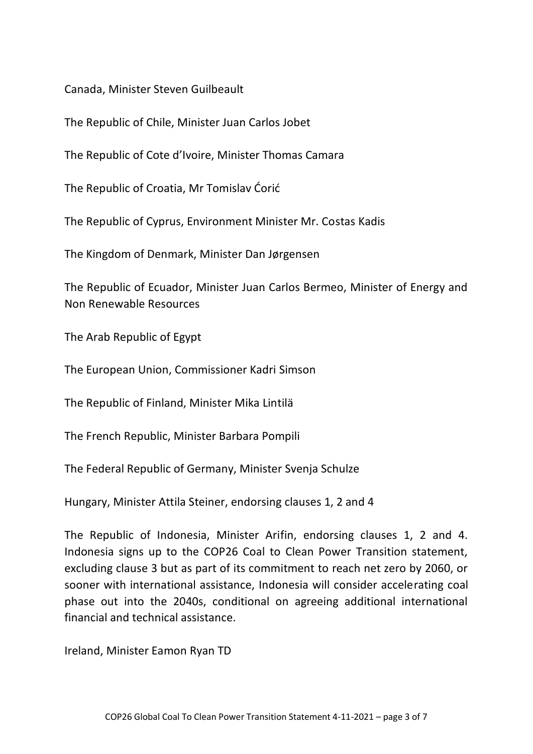Canada, Minister Steven Guilbeault

The Republic of Chile, Minister Juan Carlos Jobet

The Republic of Cote d'Ivoire, Minister Thomas Camara

The Republic of Croatia, Mr Tomislav Ćorić

The Republic of Cyprus, Environment Minister Mr. Costas Kadis

The Kingdom of Denmark, Minister Dan Jørgensen

The Republic of Ecuador, Minister Juan Carlos Bermeo, Minister of Energy and Non Renewable Resources

The Arab Republic of Egypt

The European Union, Commissioner Kadri Simson

The Republic of Finland, Minister Mika Lintilä

The French Republic, Minister Barbara Pompili

The Federal Republic of Germany, Minister Svenja Schulze

Hungary, Minister Attila Steiner, endorsing clauses 1, 2 and 4

The Republic of Indonesia, Minister Arifin, endorsing clauses 1, 2 and 4. Indonesia signs up to the COP26 Coal to Clean Power Transition statement, excluding clause 3 but as part of its commitment to reach net zero by 2060, or sooner with international assistance, Indonesia will consider accelerating coal phase out into the 2040s, conditional on agreeing additional international financial and technical assistance.

Ireland, Minister Eamon Ryan TD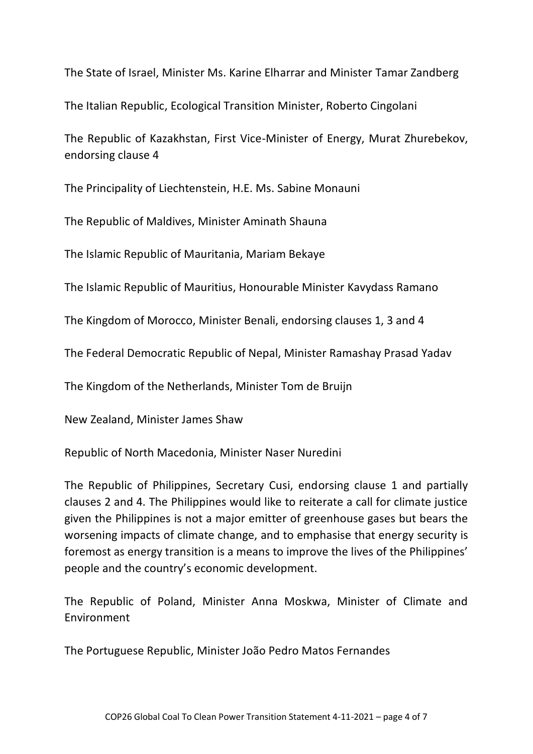The State of Israel, Minister Ms. Karine Elharrar and Minister Tamar Zandberg

The Italian Republic, Ecological Transition Minister, Roberto Cingolani

The Republic of Kazakhstan, First Vice-Minister of Energy, Murat Zhurebekov, endorsing clause 4

The Principality of Liechtenstein, H.E. Ms. Sabine Monauni

The Republic of Maldives, Minister Aminath Shauna

The Islamic Republic of Mauritania, Mariam Bekaye

The Islamic Republic of Mauritius, Honourable Minister Kavydass Ramano

The Kingdom of Morocco, Minister Benali, endorsing clauses 1, 3 and 4

The Federal Democratic Republic of Nepal, Minister Ramashay Prasad Yadav

The Kingdom of the Netherlands, Minister Tom de Bruijn

New Zealand, Minister James Shaw

Republic of North Macedonia, Minister Naser Nuredini

The Republic of Philippines, Secretary Cusi, endorsing clause 1 and partially clauses 2 and 4. The Philippines would like to reiterate a call for climate justice given the Philippines is not a major emitter of greenhouse gases but bears the worsening impacts of climate change, and to emphasise that energy security is foremost as energy transition is a means to improve the lives of the Philippines' people and the country's economic development.

The Republic of Poland, Minister Anna Moskwa, Minister of Climate and Environment

The Portuguese Republic, Minister João Pedro Matos Fernandes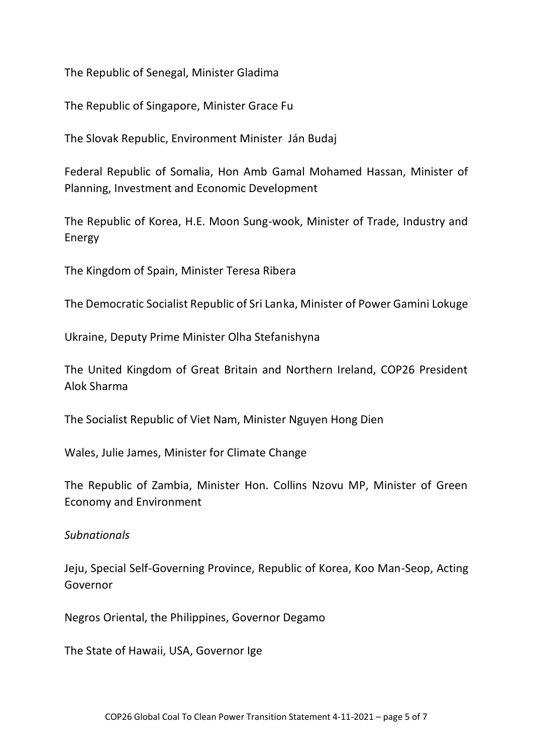The Republic of Senegal, Minister Gladima

The Republic of Singapore, Minister Grace Fu

The Slovak Republic, Environment Minister Ján Budaj

Federal Republic of Somalia, Hon Amb Gamal Mohamed Hassan, Minister of Planning, Investment and Economic Development

The Republic of Korea, H.E. Moon Sung-wook, Minister of Trade, Industry and Energy

The Kingdom of Spain, Minister Teresa Ribera

The Democratic Socialist Republic of Sri Lanka, Minister of Power Gamini Lokuge

Ukraine, Deputy Prime Minister Olha Stefanishyna

The United Kingdom of Great Britain and Northern Ireland, COP26 President Alok Sharma

The Socialist Republic of Viet Nam, Minister Nguyen Hong Dien

Wales, Julie James, Minister for Climate Change

The Republic of Zambia, Minister Hon. Collins Nzovu MP, Minister of Green Economy and Environment

## *Subnationals*

Jeju, Special Self-Governing Province, Republic of Korea, Koo Man-Seop, Acting Governor

Negros Oriental, the Philippines, Governor Degamo

The State of Hawaii, USA, Governor Ige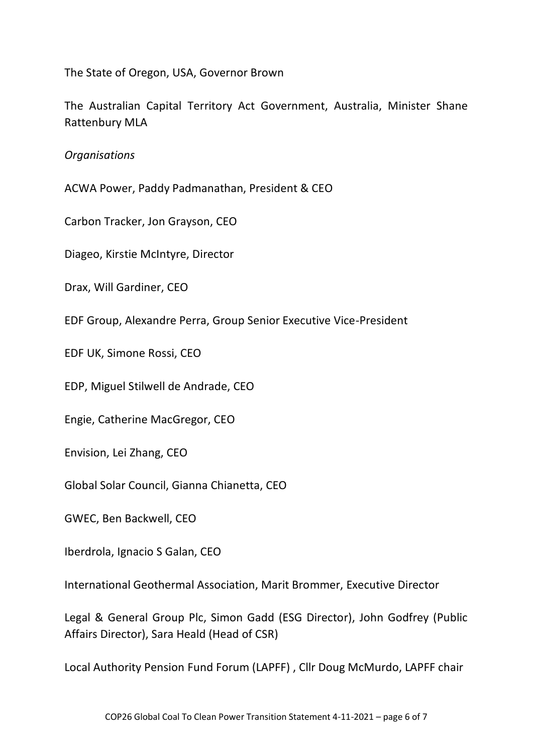The State of Oregon, USA, Governor Brown

The Australian Capital Territory Act Government, Australia, Minister Shane Rattenbury MLA

*Organisations*

ACWA Power, Paddy Padmanathan, President & CEO

Carbon Tracker, Jon Grayson, CEO

Diageo, Kirstie McIntyre, Director

Drax, Will Gardiner, CEO

EDF Group, Alexandre Perra, Group Senior Executive Vice-President

EDF UK, Simone Rossi, CEO

EDP, Miguel Stilwell de Andrade, CEO

Engie, Catherine MacGregor, CEO

Envision, Lei Zhang, CEO

Global Solar Council, Gianna Chianetta, CEO

GWEC, Ben Backwell, CEO

Iberdrola, Ignacio S Galan, CEO

International Geothermal Association, Marit Brommer, Executive Director

Legal & General Group Plc, Simon Gadd (ESG Director), John Godfrey (Public Affairs Director), Sara Heald (Head of CSR)

Local Authority Pension Fund Forum (LAPFF) , Cllr Doug McMurdo, LAPFF chair